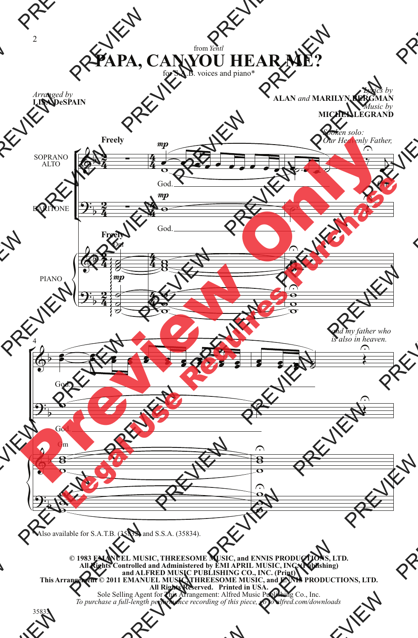## from *Yentl* **PAPA, CAN YOU HEAR ME?**

for S.A.B. voices and piano\*

*Arranged by* **LISA DeSPAIN**

## *Lyrics by* **ALAN** *and* **MARILYN BERGMAN** *Music by* **MICHEL LEGRAND**



\* Also available for S.A.T.B. (35832) and S.S.A. (35834).

**© 1983 EMANUEL MUSIC, THREESOME MUSIC, and ENNIS PRODUCTIONS, LTD. All Rights Controlled and Administered by EMI APRIL MUSIC, INC. (Publishing) and ALFRED MUSIC PUBLISHING CO., INC. (Print) This Arrangement © 2011 EMANUEL MUSIC, THREESOME MUSIC, and ENNIS PRODUCTIONS, LTD. All Rights Reserved. Printed in USA.** Sole Selling Agent for This Arrangement: Alfred Music Publishing Co., Inc. *To purchase a full-length performance recording of this piece, go to alfred.com/downloads*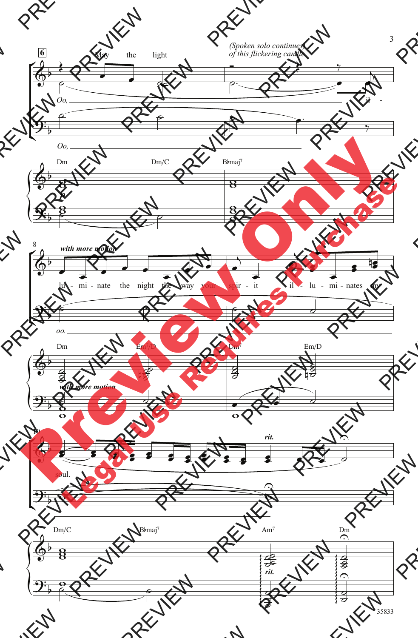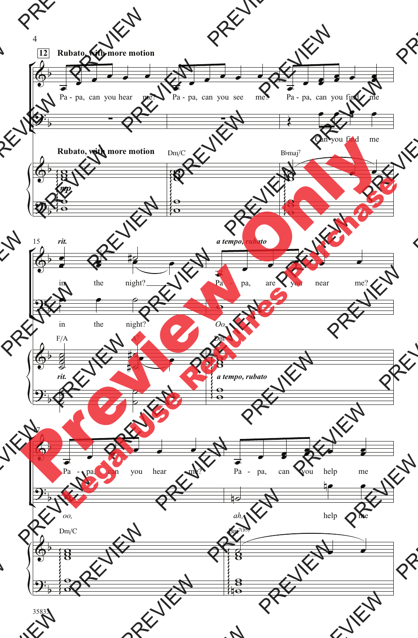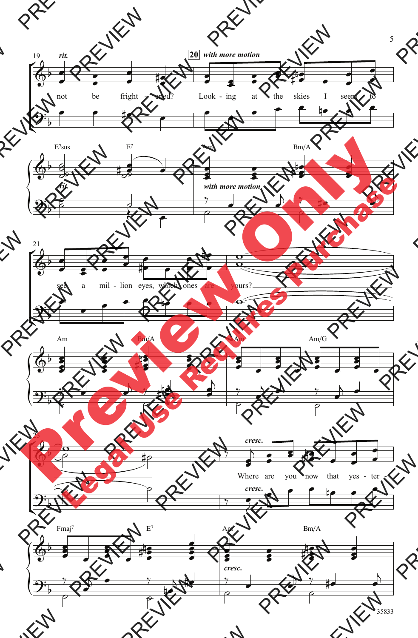

5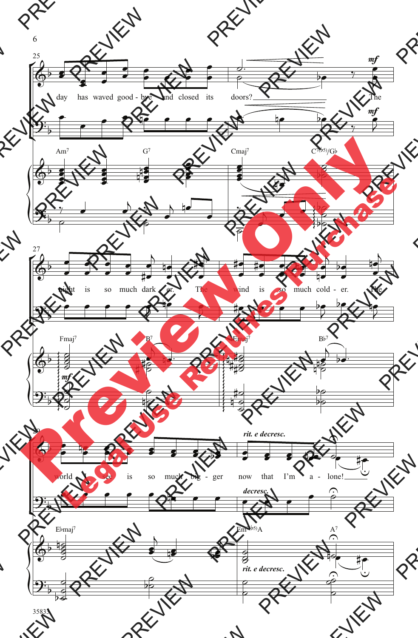

6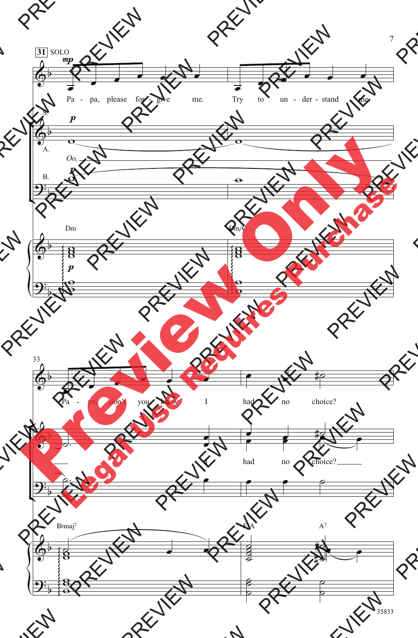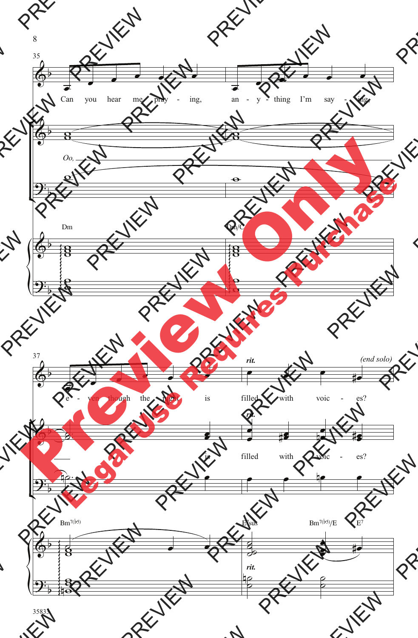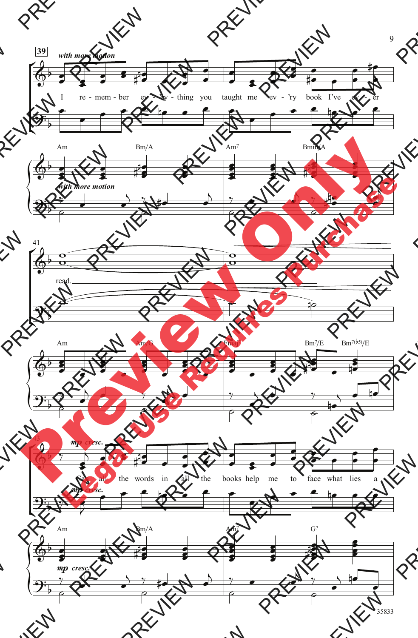

35833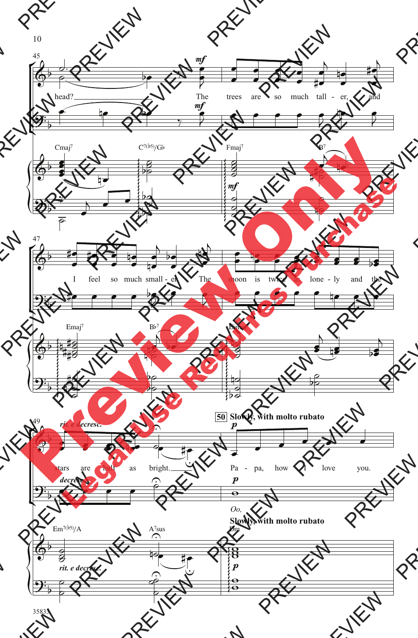